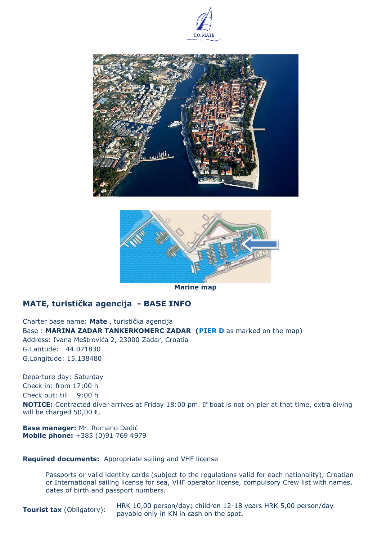





**Marine map**

# **MATE, turistička agencija - BASE INFO**

Charter base name: **Mate** , turistička agencija Base : **MARINA ZADAR TANKERKOMERC ZADAR (PIER D** as marked on the map) Address: Ivana Meštrovića 2, 23000 Zadar, Croatia G.Latitude: 44.071830 G.Longitude: 15.138480

Departure day: Saturday Check in: from 17:00 h Check out: till 9:00 h **NOTICE:** Contracted diver arrives at Friday 18:00 pm. If boat is not on pier at that time, extra diving will be charged 50,00 €.

**Base manager:** Mr. Romano Dadić **Mobile phone:** +385 (0)91 769 4979

## **Required documents:** Appropriate sailing and VHF license

Passports or valid identity cards (subject to the regulations valid for each nationality), Croatian or International sailing license for sea, VHF operator license, compulsory Crew list with names, dates of birth and passport numbers.

**Tourist tax** (Obligatory): HRK 10,00 person/day; children 12-18 years HRK 5,00 person/day payable only in KN in cash on the spot.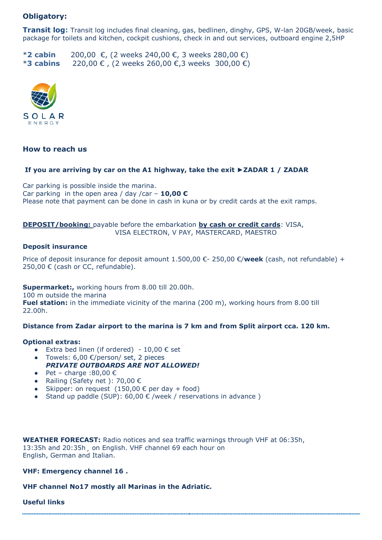# **Obligatory:**

**Transit log:** Transit log includes final cleaning, gas, bedlinen, dinghy, GPS, W-lan 20GB/week, basic package for toilets and kitchen, cockpit cushions, check in and out services, outboard engine 2,5HP

\***2 cabin** 200,00 €, (2 weeks 240,00 €, 3 weeks 280,00 €) \***3 cabins** 220,00 € , (2 weeks 260,00 €,3 weeks 300,00 €)



## **How to reach us**

#### **If you are arriving by car on the A1 highway, take the exit ►ZADAR 1 / ZADAR**

Car parking is possible inside the marina. Car parking in the open area / day /car – **10,00 €** Please note that payment can be done in cash in kuna or by credit cards at the exit ramps.

## **DEPOSIT/booking:** payable before the embarkation **by cash or credit cards**: VISA, VISA ELECTRON, V PAY, MASTERCARD, MAESTRO

#### **Deposit insurance**

Price of deposit insurance for deposit amount 1.500,00 €- 250,00 €/**week** (cash, not refundable) + 250,00 € (cash or CC, refundable).

#### **Supermarket:,** working hours from 8.00 till 20.00h.

100 m outside the marina

**Fuel station:** in the immediate vicinity of the marina (200 m), working hours from 8.00 till 22.00h.

### **Distance from Zadar airport to the marina is 7 km and from Split airport cca. 120 km.**

#### **Optional extras:**

- Extra bed linen (if ordered)  $-10,00 \in set$
- Towels:  $6,00$  €/person/ set, 2 pieces *PRIVATE OUTBOARDS ARE NOT ALLOWED!*
- Pet charge :80,00  $∈$
- Railing (Safety net ): 70,00 €
- Skipper: on request  $(150,00 \in per \, day + food)$
- Stand up paddle (SUP):  $60,00 \in$  /week / reservations in advance)

**WEATHER FORECAST:** Radio notices and sea traffic warnings through VHF at 06:35h, 13:35h and 20:35h¸ on English. VHF channel 69 each hour on English, German and Italian.

**VHF: Emergency channel 16 .**

**VHF channel No17 mostly all Marinas in the Adriatic.**

**Useful links**